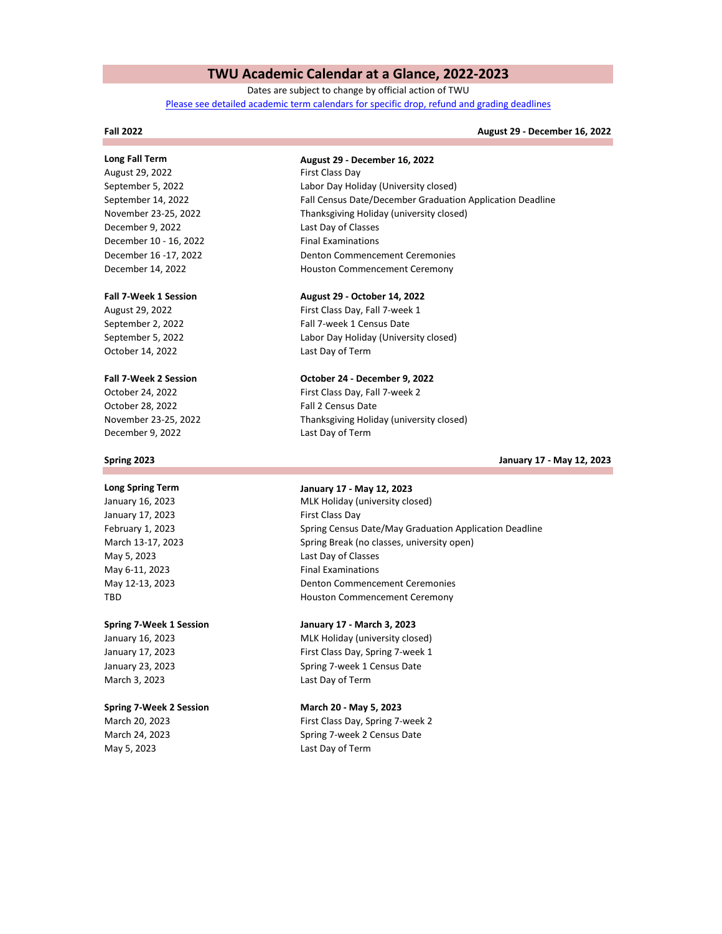# **TWU Academic Calendar at a Glance, 2022-2023**

Dates are subject to change by official action of TWU [Please see detailed academic term calendars for specific drop, refund and grading deadlines](https://twu.edu/registrar/academic-calendars/)

### **Fall 2022**

## **August 29 - December 16, 2022**

August 29, 2022 **First Class Day** December 9, 2022 Last Day of Classes December 10 - 16, 2022 Final Examinations December 14, 2022

October 14, 2022 Last Day of Term

December 9, 2022 October 28, 2022 Fall 2 Census Date

### **Spring 2023**

May 5, 2023 May 6-11, 2023 Final Examinations January 17, 2023 **First Class Day** 

March 3, 2023 Last Day of Term January 17, 2023

### **Spring 7-Week 2 Session March 20 - May 5, 2023**

May 5, 2023 Last Day of Term

# **Long Fall Term August 29 - December 16, 2022**

Houston Commencement Ceremony November 23-25, 2022 Thanksgiving Holiday (university closed) September 5, 2022 Labor Day Holiday (University closed) September 14, 2022 Fall Census Date/December Graduation Application Deadline December 16 -17, 2022 Denton Commencement Ceremonies

### **Fall 7-Week 1 Session August 29 - October 14, 2022**

August 29, 2022 **First Class Day, Fall 7-week 1** September 2, 2022 Fall 7-week 1 Census Date September 5, 2022 Labor Day Holiday (University closed)

### **Fall 7-Week 2 Session October 24 - December 9, 2022**

Last Day of Term October 24, 2022 First Class Day, Fall 7-week 2 November 23-25, 2022 Thanksgiving Holiday (university closed)

**January 17 - May 12, 2023**

# **Long Spring Term January 17 - May 12, 2023**

March 13-17, 2023 Spring Break (no classes, university open) TBD **Houston Commencement Ceremony** January 16, 2023 MLK Holiday (university closed) February 1, 2023 Spring Census Date/May Graduation Application Deadline May 12-13, 2023 **Denton Commencement Ceremonies** Last Day of Classes

## **Spring 7-Week 1 Session January 17 - March 3, 2023**

January 23, 2023 Spring 7-week 1 Census Date January 16, 2023 MLK Holiday (university closed) First Class Day, Spring 7-week 1

March 20, 2023 **First Class Day, Spring 7-week 2** March 24, 2023 Spring 7-week 2 Census Date